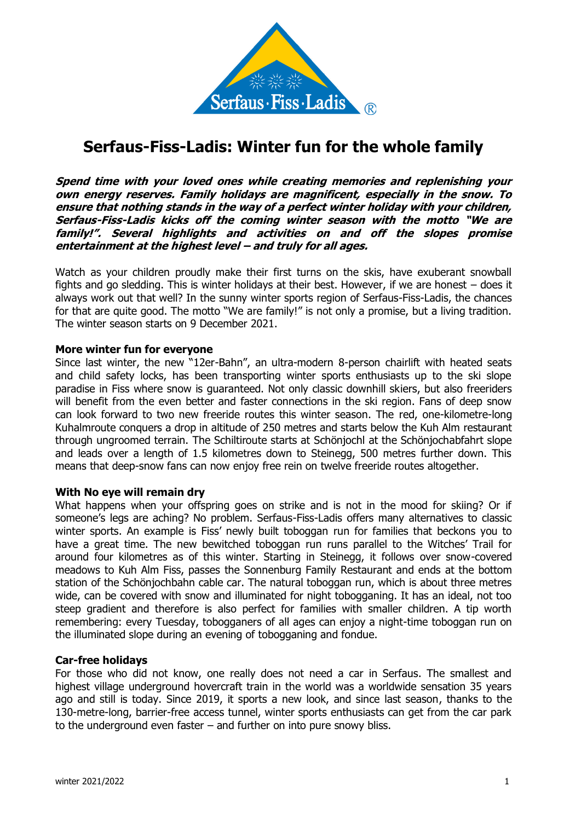

# **Serfaus-Fiss-Ladis: Winter fun for the whole family**

**Spend time with your loved ones while creating memories and replenishing your own energy reserves. Family holidays are magnificent, especially in the snow. To ensure that nothing stands in the way of a perfect winter holiday with your children, Serfaus-Fiss-Ladis kicks off the coming winter season with the motto "We are family!". Several highlights and activities on and off the slopes promise entertainment at the highest level – and truly for all ages.**

Watch as your children proudly make their first turns on the skis, have exuberant snowball fights and go sledding. This is winter holidays at their best. However, if we are honest – does it always work out that well? In the sunny winter sports region of Serfaus-Fiss-Ladis, the chances for that are quite good. The motto "We are family!" is not only a promise, but a living tradition. The winter season starts on 9 December 2021.

## **More winter fun for everyone**

Since last winter, the new "12er-Bahn", an ultra-modern 8-person chairlift with heated seats and child safety locks, has been transporting winter sports enthusiasts up to the ski slope paradise in Fiss where snow is guaranteed. Not only classic downhill skiers, but also freeriders will benefit from the even better and faster connections in the ski region. Fans of deep snow can look forward to two new freeride routes this winter season. The red, one-kilometre-long Kuhalmroute conquers a drop in altitude of 250 metres and starts below the Kuh Alm restaurant through ungroomed terrain. The Schiltiroute starts at Schönjochl at the Schönjochabfahrt slope and leads over a length of 1.5 kilometres down to Steinegg, 500 metres further down. This means that deep-snow fans can now enjoy free rein on twelve freeride routes altogether.

## **With No eye will remain dry**

What happens when your offspring goes on strike and is not in the mood for skiing? Or if someone's legs are aching? No problem. Serfaus-Fiss-Ladis offers many alternatives to classic winter sports. An example is Fiss' newly built toboggan run for families that beckons you to have a great time. The new bewitched toboggan run runs parallel to the Witches' Trail for around four kilometres as of this winter. Starting in Steinegg, it follows over snow-covered meadows to Kuh Alm Fiss, passes the Sonnenburg Family Restaurant and ends at the bottom station of the Schönjochbahn cable car. The natural toboggan run, which is about three metres wide, can be covered with snow and illuminated for night tobogganing. It has an ideal, not too steep gradient and therefore is also perfect for families with smaller children. A tip worth remembering: every Tuesday, tobogganers of all ages can enjoy a night-time toboggan run on the illuminated slope during an evening of tobogganing and fondue.

## **Car-free holidays**

For those who did not know, one really does not need a car in Serfaus. The smallest and highest village underground hovercraft train in the world was a worldwide sensation 35 years ago and still is today. Since 2019, it sports a new look, and since last season, thanks to the 130-metre-long, barrier-free access tunnel, winter sports enthusiasts can get from the car park to the underground even faster – and further on into pure snowy bliss.